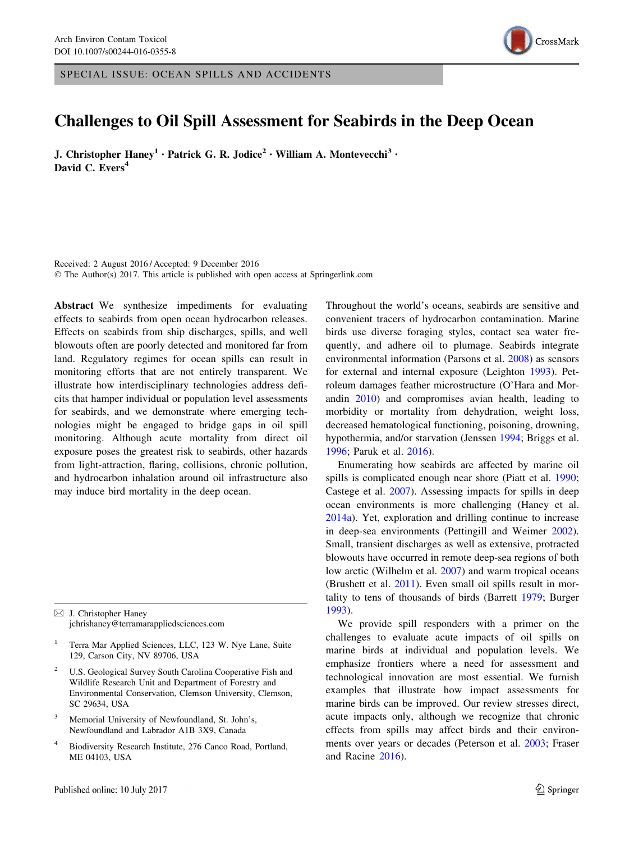SPECIAL ISSUE: OCEAN SPILLS AND ACCIDENTS

# Challenges to Oil Spill Assessment for Seabirds in the Deep Ocean

J. Christopher  $Hanev^1 \cdot Patrick G. R. Jodice^2 \cdot William A. Montevecchi^3 \cdot$ David C. Evers<sup>4</sup>

Received: 2 August 2016 / Accepted: 9 December 2016 © The Author(s) 2017. This article is published with open access at Springerlink.com

Abstract We synthesize impediments for evaluating effects to seabirds from open ocean hydrocarbon releases. Effects on seabirds from ship discharges, spills, and well blowouts often are poorly detected and monitored far from land. Regulatory regimes for ocean spills can result in monitoring efforts that are not entirely transparent. We illustrate how interdisciplinary technologies address deficits that hamper individual or population level assessments for seabirds, and we demonstrate where emerging technologies might be engaged to bridge gaps in oil spill monitoring. Although acute mortality from direct oil exposure poses the greatest risk to seabirds, other hazards from light-attraction, flaring, collisions, chronic pollution, and hydrocarbon inhalation around oil infrastructure also may induce bird mortality in the deep ocean.

 $\boxtimes$  J. Christopher Haney jchrishaney@terramarappliedsciences.com

- <sup>1</sup> Terra Mar Applied Sciences, LLC, 123 W. Nye Lane, Suite 129, Carson City, NV 89706, USA
- U.S. Geological Survey South Carolina Cooperative Fish and Wildlife Research Unit and Department of Forestry and Environmental Conservation, Clemson University, Clemson, SC 29634, USA
- Memorial University of Newfoundland, St. John's, Newfoundland and Labrador A1B 3X9, Canada
- <sup>4</sup> Biodiversity Research Institute, 276 Canco Road, Portland, ME 04103, USA

Throughout the world's oceans, seabirds are sensitive and convenient tracers of hydrocarbon contamination. Marine birds use diverse foraging styles, contact sea water frequently, and adhere oil to plumage. Seabirds integrate environmental information (Parsons et al. [2008](#page-6-0)) as sensors for external and internal exposure (Leighton [1993\)](#page-6-0). Petroleum damages feather microstructure (O'Hara and Morandin [2010\)](#page-6-0) and compromises avian health, leading to morbidity or mortality from dehydration, weight loss, decreased hematological functioning, poisoning, drowning, hypothermia, and/or starvation (Jenssen [1994](#page-5-0); Briggs et al. [1996](#page-5-0); Paruk et al. [2016\)](#page-6-0).

Enumerating how seabirds are affected by marine oil spills is complicated enough near shore (Piatt et al. [1990](#page-6-0); Castege et al. [2007\)](#page-5-0). Assessing impacts for spills in deep ocean environments is more challenging (Haney et al. [2014a\)](#page-5-0). Yet, exploration and drilling continue to increase in deep-sea environments (Pettingill and Weimer [2002](#page-6-0)). Small, transient discharges as well as extensive, protracted blowouts have occurred in remote deep-sea regions of both low arctic (Wilhelm et al. [2007\)](#page-6-0) and warm tropical oceans (Brushett et al. [2011\)](#page-5-0). Even small oil spills result in mortality to tens of thousands of birds (Barrett [1979;](#page-5-0) Burger [1993](#page-5-0)).

We provide spill responders with a primer on the challenges to evaluate acute impacts of oil spills on marine birds at individual and population levels. We emphasize frontiers where a need for assessment and technological innovation are most essential. We furnish examples that illustrate how impact assessments for marine birds can be improved. Our review stresses direct, acute impacts only, although we recognize that chronic effects from spills may affect birds and their environments over years or decades (Peterson et al. [2003;](#page-6-0) Fraser and Racine [2016](#page-5-0)).

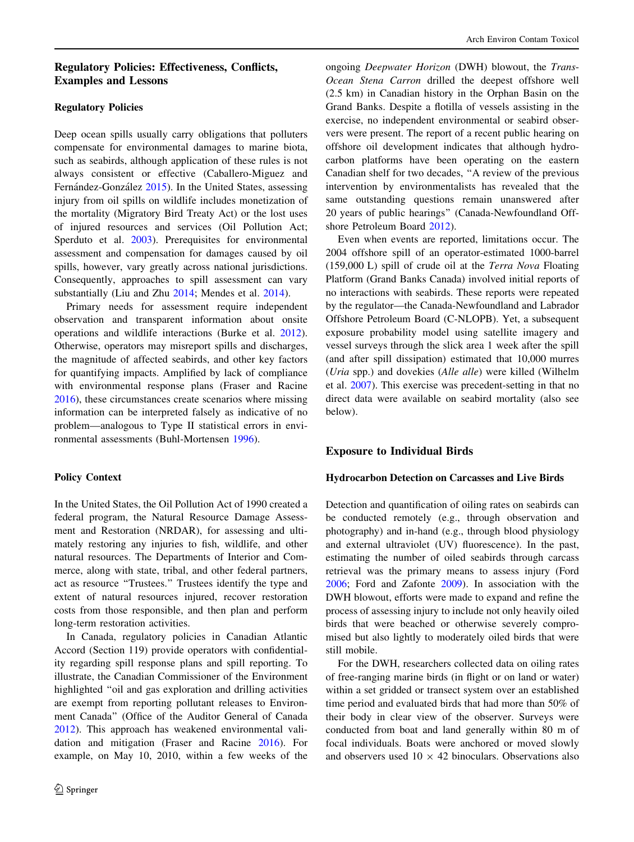## Regulatory Policies: Effectiveness, Conflicts, Examples and Lessons

#### Regulatory Policies

Deep ocean spills usually carry obligations that polluters compensate for environmental damages to marine biota, such as seabirds, although application of these rules is not always consistent or effective (Caballero-Miguez and Fernández-González [2015\)](#page-5-0). In the United States, assessing injury from oil spills on wildlife includes monetization of the mortality (Migratory Bird Treaty Act) or the lost uses of injured resources and services (Oil Pollution Act; Sperduto et al. [2003](#page-6-0)). Prerequisites for environmental assessment and compensation for damages caused by oil spills, however, vary greatly across national jurisdictions. Consequently, approaches to spill assessment can vary substantially (Liu and Zhu [2014;](#page-6-0) Mendes et al. [2014](#page-6-0)).

Primary needs for assessment require independent observation and transparent information about onsite operations and wildlife interactions (Burke et al. [2012](#page-5-0)). Otherwise, operators may misreport spills and discharges, the magnitude of affected seabirds, and other key factors for quantifying impacts. Amplified by lack of compliance with environmental response plans (Fraser and Racine [2016\)](#page-5-0), these circumstances create scenarios where missing information can be interpreted falsely as indicative of no problem—analogous to Type II statistical errors in environmental assessments (Buhl-Mortensen [1996\)](#page-5-0).

## Policy Context

In the United States, the Oil Pollution Act of 1990 created a federal program, the Natural Resource Damage Assessment and Restoration (NRDAR), for assessing and ultimately restoring any injuries to fish, wildlife, and other natural resources. The Departments of Interior and Commerce, along with state, tribal, and other federal partners, act as resource ''Trustees.'' Trustees identify the type and extent of natural resources injured, recover restoration costs from those responsible, and then plan and perform long-term restoration activities.

In Canada, regulatory policies in Canadian Atlantic Accord (Section 119) provide operators with confidentiality regarding spill response plans and spill reporting. To illustrate, the Canadian Commissioner of the Environment highlighted ''oil and gas exploration and drilling activities are exempt from reporting pollutant releases to Environment Canada'' (Office of the Auditor General of Canada [2012\)](#page-6-0). This approach has weakened environmental validation and mitigation (Fraser and Racine [2016\)](#page-5-0). For example, on May 10, 2010, within a few weeks of the

ongoing Deepwater Horizon (DWH) blowout, the Trans-Ocean Stena Carron drilled the deepest offshore well (2.5 km) in Canadian history in the Orphan Basin on the Grand Banks. Despite a flotilla of vessels assisting in the exercise, no independent environmental or seabird observers were present. The report of a recent public hearing on offshore oil development indicates that although hydrocarbon platforms have been operating on the eastern Canadian shelf for two decades, ''A review of the previous intervention by environmentalists has revealed that the same outstanding questions remain unanswered after 20 years of public hearings'' (Canada-Newfoundland Offshore Petroleum Board [2012](#page-5-0)).

Even when events are reported, limitations occur. The 2004 offshore spill of an operator-estimated 1000-barrel (159,000 L) spill of crude oil at the Terra Nova Floating Platform (Grand Banks Canada) involved initial reports of no interactions with seabirds. These reports were repeated by the regulator—the Canada-Newfoundland and Labrador Offshore Petroleum Board (C-NLOPB). Yet, a subsequent exposure probability model using satellite imagery and vessel surveys through the slick area 1 week after the spill (and after spill dissipation) estimated that 10,000 murres (Uria spp.) and dovekies (Alle alle) were killed (Wilhelm et al. [2007](#page-6-0)). This exercise was precedent-setting in that no direct data were available on seabird mortality (also see below).

#### Exposure to Individual Birds

## Hydrocarbon Detection on Carcasses and Live Birds

Detection and quantification of oiling rates on seabirds can be conducted remotely (e.g., through observation and photography) and in-hand (e.g., through blood physiology and external ultraviolet (UV) fluorescence). In the past, estimating the number of oiled seabirds through carcass retrieval was the primary means to assess injury (Ford [2006](#page-5-0); Ford and Zafonte [2009](#page-5-0)). In association with the DWH blowout, efforts were made to expand and refine the process of assessing injury to include not only heavily oiled birds that were beached or otherwise severely compromised but also lightly to moderately oiled birds that were still mobile.

For the DWH, researchers collected data on oiling rates of free-ranging marine birds (in flight or on land or water) within a set gridded or transect system over an established time period and evaluated birds that had more than 50% of their body in clear view of the observer. Surveys were conducted from boat and land generally within 80 m of focal individuals. Boats were anchored or moved slowly and observers used  $10 \times 42$  binoculars. Observations also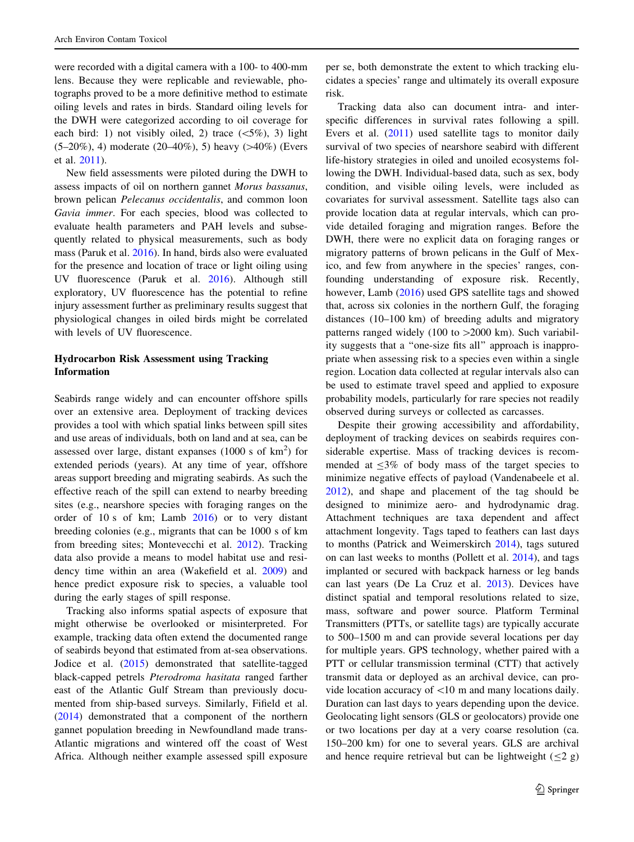were recorded with a digital camera with a 100- to 400-mm lens. Because they were replicable and reviewable, photographs proved to be a more definitive method to estimate oiling levels and rates in birds. Standard oiling levels for the DWH were categorized according to oil coverage for each bird: 1) not visibly oiled, 2) trace  $(\leq 5\%)$ , 3) light  $(5-20\%)$ , 4) moderate  $(20-40\%)$ , 5) heavy  $(>40\%)$  (Evers et al. [2011\)](#page-5-0).

New field assessments were piloted during the DWH to assess impacts of oil on northern gannet Morus bassanus, brown pelican Pelecanus occidentalis, and common loon Gavia immer. For each species, blood was collected to evaluate health parameters and PAH levels and subsequently related to physical measurements, such as body mass (Paruk et al. [2016](#page-6-0)). In hand, birds also were evaluated for the presence and location of trace or light oiling using UV fluorescence (Paruk et al. [2016\)](#page-6-0). Although still exploratory, UV fluorescence has the potential to refine injury assessment further as preliminary results suggest that physiological changes in oiled birds might be correlated with levels of UV fluorescence.

## Hydrocarbon Risk Assessment using Tracking Information

Seabirds range widely and can encounter offshore spills over an extensive area. Deployment of tracking devices provides a tool with which spatial links between spill sites and use areas of individuals, both on land and at sea, can be assessed over large, distant expanses  $(1000 \text{ s of km}^2)$  for extended periods (years). At any time of year, offshore areas support breeding and migrating seabirds. As such the effective reach of the spill can extend to nearby breeding sites (e.g., nearshore species with foraging ranges on the order of 10 s of km; Lamb [2016](#page-6-0)) or to very distant breeding colonies (e.g., migrants that can be 1000 s of km from breeding sites; Montevecchi et al. [2012\)](#page-6-0). Tracking data also provide a means to model habitat use and residency time within an area (Wakefield et al. [2009](#page-6-0)) and hence predict exposure risk to species, a valuable tool during the early stages of spill response.

Tracking also informs spatial aspects of exposure that might otherwise be overlooked or misinterpreted. For example, tracking data often extend the documented range of seabirds beyond that estimated from at-sea observations. Jodice et al. [\(2015](#page-6-0)) demonstrated that satellite-tagged black-capped petrels Pterodroma hasitata ranged farther east of the Atlantic Gulf Stream than previously documented from ship-based surveys. Similarly, Fifield et al. [\(2014](#page-5-0)) demonstrated that a component of the northern gannet population breeding in Newfoundland made trans-Atlantic migrations and wintered off the coast of West Africa. Although neither example assessed spill exposure per se, both demonstrate the extent to which tracking elucidates a species' range and ultimately its overall exposure risk.

Tracking data also can document intra- and interspecific differences in survival rates following a spill. Evers et al. ([2011\)](#page-5-0) used satellite tags to monitor daily survival of two species of nearshore seabird with different life-history strategies in oiled and unoiled ecosystems following the DWH. Individual-based data, such as sex, body condition, and visible oiling levels, were included as covariates for survival assessment. Satellite tags also can provide location data at regular intervals, which can provide detailed foraging and migration ranges. Before the DWH, there were no explicit data on foraging ranges or migratory patterns of brown pelicans in the Gulf of Mexico, and few from anywhere in the species' ranges, confounding understanding of exposure risk. Recently, however, Lamb [\(2016](#page-6-0)) used GPS satellite tags and showed that, across six colonies in the northern Gulf, the foraging distances (10–100 km) of breeding adults and migratory patterns ranged widely (100 to  $>2000$  km). Such variability suggests that a ''one-size fits all'' approach is inappropriate when assessing risk to a species even within a single region. Location data collected at regular intervals also can be used to estimate travel speed and applied to exposure probability models, particularly for rare species not readily observed during surveys or collected as carcasses.

Despite their growing accessibility and affordability, deployment of tracking devices on seabirds requires considerable expertise. Mass of tracking devices is recommended at  $\leq$ 3% of body mass of the target species to minimize negative effects of payload (Vandenabeele et al. [2012](#page-6-0)), and shape and placement of the tag should be designed to minimize aero- and hydrodynamic drag. Attachment techniques are taxa dependent and affect attachment longevity. Tags taped to feathers can last days to months (Patrick and Weimerskirch [2014](#page-6-0)), tags sutured on can last weeks to months (Pollett et al. [2014](#page-6-0)), and tags implanted or secured with backpack harness or leg bands can last years (De La Cruz et al. [2013](#page-5-0)). Devices have distinct spatial and temporal resolutions related to size, mass, software and power source. Platform Terminal Transmitters (PTTs, or satellite tags) are typically accurate to 500–1500 m and can provide several locations per day for multiple years. GPS technology, whether paired with a PTT or cellular transmission terminal (CTT) that actively transmit data or deployed as an archival device, can provide location accuracy of <10 m and many locations daily. Duration can last days to years depending upon the device. Geolocating light sensors (GLS or geolocators) provide one or two locations per day at a very coarse resolution (ca. 150–200 km) for one to several years. GLS are archival and hence require retrieval but can be lightweight  $(\leq 2 \text{ g})$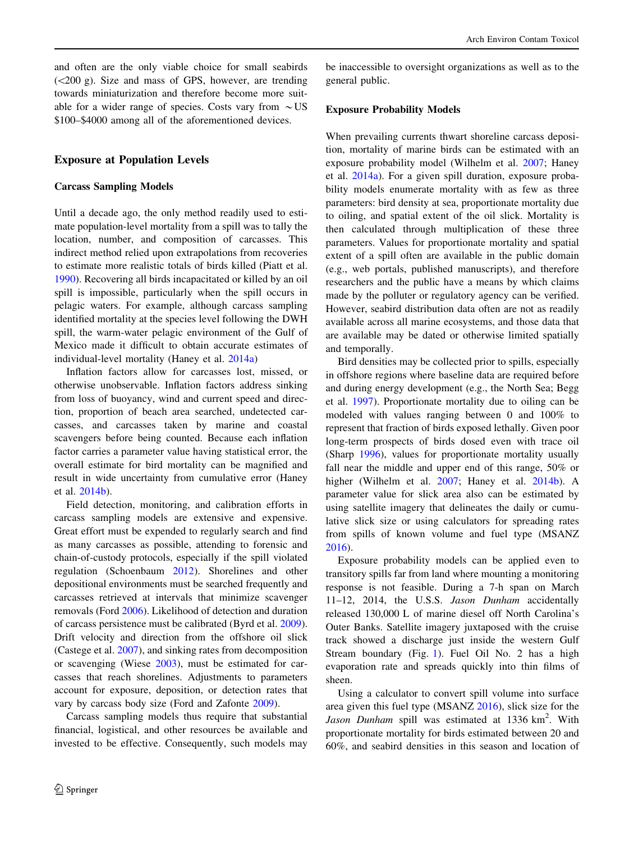and often are the only viable choice for small seabirds  $(<200 \text{ g})$ . Size and mass of GPS, however, are trending towards miniaturization and therefore become more suitable for a wider range of species. Costs vary from  $\sim$  US \$100–\$4000 among all of the aforementioned devices.

#### Exposure at Population Levels

#### Carcass Sampling Models

Until a decade ago, the only method readily used to estimate population-level mortality from a spill was to tally the location, number, and composition of carcasses. This indirect method relied upon extrapolations from recoveries to estimate more realistic totals of birds killed (Piatt et al. [1990\)](#page-6-0). Recovering all birds incapacitated or killed by an oil spill is impossible, particularly when the spill occurs in pelagic waters. For example, although carcass sampling identified mortality at the species level following the DWH spill, the warm-water pelagic environment of the Gulf of Mexico made it difficult to obtain accurate estimates of individual-level mortality (Haney et al. [2014a\)](#page-5-0)

Inflation factors allow for carcasses lost, missed, or otherwise unobservable. Inflation factors address sinking from loss of buoyancy, wind and current speed and direction, proportion of beach area searched, undetected carcasses, and carcasses taken by marine and coastal scavengers before being counted. Because each inflation factor carries a parameter value having statistical error, the overall estimate for bird mortality can be magnified and result in wide uncertainty from cumulative error (Haney et al. [2014b\)](#page-5-0).

Field detection, monitoring, and calibration efforts in carcass sampling models are extensive and expensive. Great effort must be expended to regularly search and find as many carcasses as possible, attending to forensic and chain-of-custody protocols, especially if the spill violated regulation (Schoenbaum [2012](#page-6-0)). Shorelines and other depositional environments must be searched frequently and carcasses retrieved at intervals that minimize scavenger removals (Ford [2006\)](#page-5-0). Likelihood of detection and duration of carcass persistence must be calibrated (Byrd et al. [2009](#page-5-0)). Drift velocity and direction from the offshore oil slick (Castege et al. [2007](#page-5-0)), and sinking rates from decomposition or scavenging (Wiese [2003](#page-6-0)), must be estimated for carcasses that reach shorelines. Adjustments to parameters account for exposure, deposition, or detection rates that vary by carcass body size (Ford and Zafonte [2009\)](#page-5-0).

Carcass sampling models thus require that substantial financial, logistical, and other resources be available and invested to be effective. Consequently, such models may be inaccessible to oversight organizations as well as to the general public.

#### Exposure Probability Models

When prevailing currents thwart shoreline carcass deposition, mortality of marine birds can be estimated with an exposure probability model (Wilhelm et al. [2007](#page-6-0); Haney et al. [2014a](#page-5-0)). For a given spill duration, exposure probability models enumerate mortality with as few as three parameters: bird density at sea, proportionate mortality due to oiling, and spatial extent of the oil slick. Mortality is then calculated through multiplication of these three parameters. Values for proportionate mortality and spatial extent of a spill often are available in the public domain (e.g., web portals, published manuscripts), and therefore researchers and the public have a means by which claims made by the polluter or regulatory agency can be verified. However, seabird distribution data often are not as readily available across all marine ecosystems, and those data that are available may be dated or otherwise limited spatially and temporally.

Bird densities may be collected prior to spills, especially in offshore regions where baseline data are required before and during energy development (e.g., the North Sea; Begg et al. [1997\)](#page-5-0). Proportionate mortality due to oiling can be modeled with values ranging between 0 and 100% to represent that fraction of birds exposed lethally. Given poor long-term prospects of birds dosed even with trace oil (Sharp [1996\)](#page-6-0), values for proportionate mortality usually fall near the middle and upper end of this range, 50% or higher (Wilhelm et al. [2007;](#page-6-0) Haney et al. [2014b](#page-5-0)). A parameter value for slick area also can be estimated by using satellite imagery that delineates the daily or cumulative slick size or using calculators for spreading rates from spills of known volume and fuel type (MSANZ [2016](#page-6-0)).

Exposure probability models can be applied even to transitory spills far from land where mounting a monitoring response is not feasible. During a 7-h span on March 11–12, 2014, the U.S.S. Jason Dunham accidentally released 130,000 L of marine diesel off North Carolina's Outer Banks. Satellite imagery juxtaposed with the cruise track showed a discharge just inside the western Gulf Stream boundary (Fig. [1](#page-4-0)). Fuel Oil No. 2 has a high evaporation rate and spreads quickly into thin films of sheen.

Using a calculator to convert spill volume into surface area given this fuel type (MSANZ [2016](#page-6-0)), slick size for the Jason Dunham spill was estimated at 1336 km<sup>2</sup>. With proportionate mortality for birds estimated between 20 and 60%, and seabird densities in this season and location of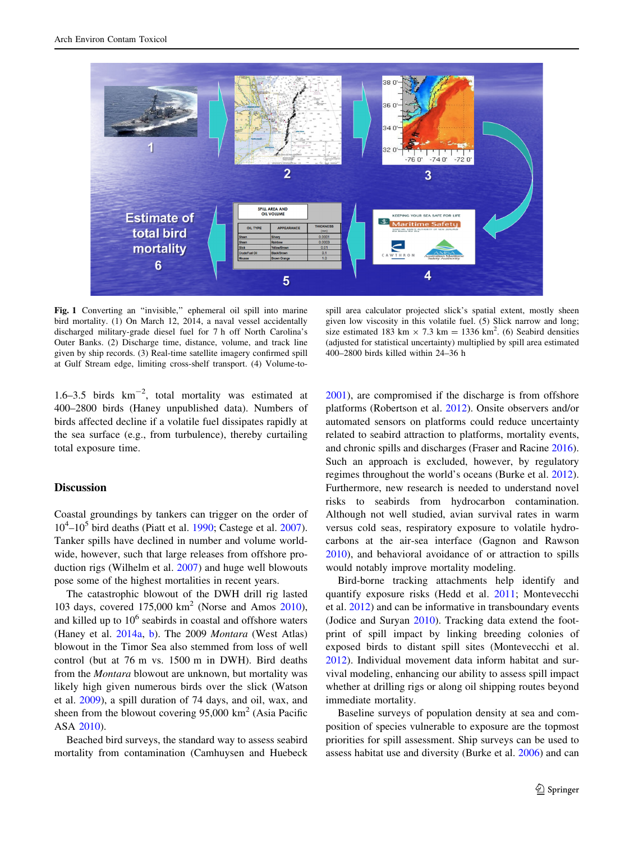<span id="page-4-0"></span>

Fig. 1 Converting an ''invisible,'' ephemeral oil spill into marine bird mortality. (1) On March 12, 2014, a naval vessel accidentally discharged military-grade diesel fuel for 7 h off North Carolina's Outer Banks. (2) Discharge time, distance, volume, and track line given by ship records. (3) Real-time satellite imagery confirmed spill at Gulf Stream edge, limiting cross-shelf transport. (4) Volume-to-

1.6–3.5 birds  $km^{-2}$ , total mortality was estimated at 400–2800 birds (Haney unpublished data). Numbers of birds affected decline if a volatile fuel dissipates rapidly at the sea surface (e.g., from turbulence), thereby curtailing total exposure time.

## **Discussion**

Coastal groundings by tankers can trigger on the order of 10<sup>4</sup> –10<sup>5</sup> bird deaths (Piatt et al. [1990;](#page-6-0) Castege et al. [2007](#page-5-0)). Tanker spills have declined in number and volume worldwide, however, such that large releases from offshore production rigs (Wilhelm et al. [2007](#page-6-0)) and huge well blowouts pose some of the highest mortalities in recent years.

The catastrophic blowout of the DWH drill rig lasted 103 days, covered  $175,000 \text{ km}^2$  (Norse and Amos [2010](#page-6-0)), and killed up to  $10<sup>6</sup>$  seabirds in coastal and offshore waters (Haney et al. [2014a,](#page-5-0) [b](#page-5-0)). The 2009 Montara (West Atlas) blowout in the Timor Sea also stemmed from loss of well control (but at 76 m vs. 1500 m in DWH). Bird deaths from the *Montara* blowout are unknown, but mortality was likely high given numerous birds over the slick (Watson et al. [2009\)](#page-6-0), a spill duration of 74 days, and oil, wax, and sheen from the blowout covering  $95,000 \text{ km}^2$  (Asia Pacific ASA [2010](#page-5-0)).

Beached bird surveys, the standard way to assess seabird mortality from contamination (Camhuysen and Huebeck

spill area calculator projected slick's spatial extent, mostly sheen given low viscosity in this volatile fuel. (5) Slick narrow and long; size estimated 183 km  $\times$  7.3 km = 1336 km<sup>2</sup>. (6) Seabird densities (adjusted for statistical uncertainty) multiplied by spill area estimated 400–2800 birds killed within 24–36 h

[2001](#page-5-0)), are compromised if the discharge is from offshore platforms (Robertson et al. [2012\)](#page-6-0). Onsite observers and/or automated sensors on platforms could reduce uncertainty related to seabird attraction to platforms, mortality events, and chronic spills and discharges (Fraser and Racine [2016](#page-5-0)). Such an approach is excluded, however, by regulatory regimes throughout the world's oceans (Burke et al. [2012](#page-5-0)). Furthermore, new research is needed to understand novel risks to seabirds from hydrocarbon contamination. Although not well studied, avian survival rates in warm versus cold seas, respiratory exposure to volatile hydrocarbons at the air-sea interface (Gagnon and Rawson [2010](#page-5-0)), and behavioral avoidance of or attraction to spills would notably improve mortality modeling.

Bird-borne tracking attachments help identify and quantify exposure risks (Hedd et al. [2011](#page-5-0); Montevecchi et al. [2012](#page-6-0)) and can be informative in transboundary events (Jodice and Suryan [2010\)](#page-5-0). Tracking data extend the footprint of spill impact by linking breeding colonies of exposed birds to distant spill sites (Montevecchi et al. [2012](#page-6-0)). Individual movement data inform habitat and survival modeling, enhancing our ability to assess spill impact whether at drilling rigs or along oil shipping routes beyond immediate mortality.

Baseline surveys of population density at sea and composition of species vulnerable to exposure are the topmost priorities for spill assessment. Ship surveys can be used to assess habitat use and diversity (Burke et al. [2006](#page-5-0)) and can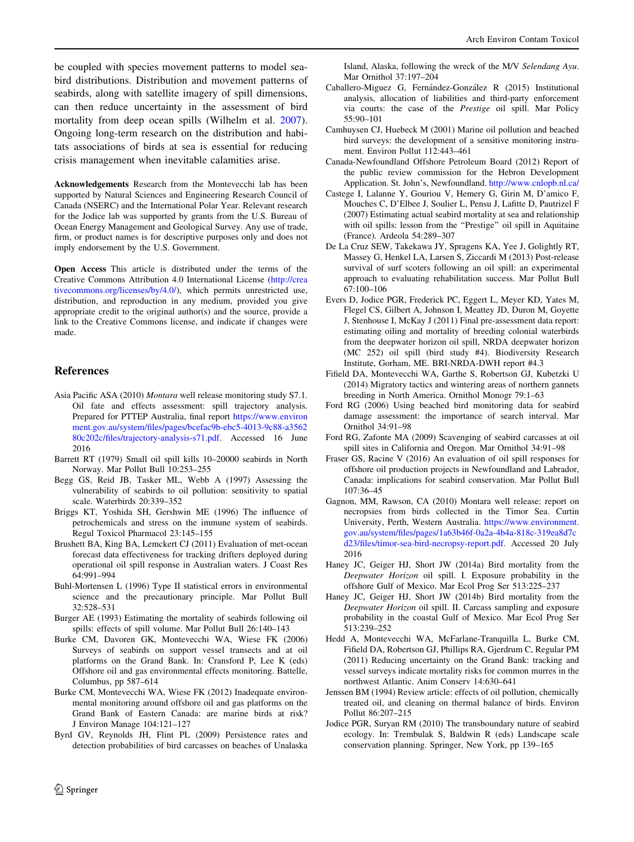<span id="page-5-0"></span>be coupled with species movement patterns to model seabird distributions. Distribution and movement patterns of seabirds, along with satellite imagery of spill dimensions, can then reduce uncertainty in the assessment of bird mortality from deep ocean spills (Wilhelm et al. [2007](#page-6-0)). Ongoing long-term research on the distribution and habitats associations of birds at sea is essential for reducing crisis management when inevitable calamities arise.

Acknowledgements Research from the Montevecchi lab has been supported by Natural Sciences and Engineering Research Council of Canada (NSERC) and the International Polar Year. Relevant research for the Jodice lab was supported by grants from the U.S. Bureau of Ocean Energy Management and Geological Survey. Any use of trade, firm, or product names is for descriptive purposes only and does not imply endorsement by the U.S. Government.

Open Access This article is distributed under the terms of the Creative Commons Attribution 4.0 International License ([http://crea](http://creativecommons.org/licenses/by/4.0/) [tivecommons.org/licenses/by/4.0/\)](http://creativecommons.org/licenses/by/4.0/), which permits unrestricted use, distribution, and reproduction in any medium, provided you give appropriate credit to the original author(s) and the source, provide a link to the Creative Commons license, and indicate if changes were made.

## References

- Asia Pacific ASA (2010) Montara well release monitoring study S7.1. Oil fate and effects assessment: spill trajectory analysis. Prepared for PTTEP Australia, final report [https://www.environ](https://www.environment.gov.au/system/files/pages/bcefac9b-ebc5-4013-9c88-a356280c202c/files/trajectory-analysis-s71.pdf) [ment.gov.au/system/files/pages/bcefac9b-ebc5-4013-9c88-a3562](https://www.environment.gov.au/system/files/pages/bcefac9b-ebc5-4013-9c88-a356280c202c/files/trajectory-analysis-s71.pdf) [80c202c/files/trajectory-analysis-s71.pdf](https://www.environment.gov.au/system/files/pages/bcefac9b-ebc5-4013-9c88-a356280c202c/files/trajectory-analysis-s71.pdf). Accessed 16 June 2016
- Barrett RT (1979) Small oil spill kills 10–20000 seabirds in North Norway. Mar Pollut Bull 10:253–255
- Begg GS, Reid JB, Tasker ML, Webb A (1997) Assessing the vulnerability of seabirds to oil pollution: sensitivity to spatial scale. Waterbirds 20:339–352
- Briggs KT, Yoshida SH, Gershwin ME (1996) The influence of petrochemicals and stress on the immune system of seabirds. Regul Toxicol Pharmacol 23:145–155
- Brushett BA, King BA, Lemckert CJ (2011) Evaluation of met-ocean forecast data effectiveness for tracking drifters deployed during operational oil spill response in Australian waters. J Coast Res 64:991–994
- Buhl-Mortensen L (1996) Type II statistical errors in environmental science and the precautionary principle. Mar Pollut Bull 32:528–531
- Burger AE (1993) Estimating the mortality of seabirds following oil spills: effects of spill volume. Mar Pollut Bull 26:140–143
- Burke CM, Davoren GK, Montevecchi WA, Wiese FK (2006) Surveys of seabirds on support vessel transects and at oil platforms on the Grand Bank. In: Cransford P, Lee K (eds) Offshore oil and gas environmental effects monitoring. Battelle, Columbus, pp 587–614
- Burke CM, Montevecchi WA, Wiese FK (2012) Inadequate environmental monitoring around offshore oil and gas platforms on the Grand Bank of Eastern Canada: are marine birds at risk? J Environ Manage 104:121–127
- Byrd GV, Reynolds JH, Flint PL (2009) Persistence rates and detection probabilities of bird carcasses on beaches of Unalaska

Island, Alaska, following the wreck of the M/V Selendang Ayu. Mar Ornithol 37:197–204

- Caballero-Miguez G, Fernández-González R (2015) Institutional analysis, allocation of liabilities and third-party enforcement via courts: the case of the Prestige oil spill. Mar Policy 55:90–101
- Camhuysen CJ, Huebeck M (2001) Marine oil pollution and beached bird surveys: the development of a sensitive monitoring instrument. Environ Pollut 112:443–461
- Canada-Newfoundland Offshore Petroleum Board (2012) Report of the public review commission for the Hebron Development Application. St. John's, Newfoundland. <http://www.cnlopb.nl.ca/>
- Castege I, Lalanne Y, Gouriou V, Hemery G, Girin M, D'amico F, Mouches C, D'Elbee J, Soulier L, Pensu J, Lafitte D, Pautrizel F (2007) Estimating actual seabird mortality at sea and relationship with oil spills: lesson from the ''Prestige'' oil spill in Aquitaine (France). Ardeola 54:289–307
- De La Cruz SEW, Takekawa JY, Spragens KA, Yee J, Golightly RT, Massey G, Henkel LA, Larsen S, Ziccardi M (2013) Post-release survival of surf scoters following an oil spill: an experimental approach to evaluating rehabilitation success. Mar Pollut Bull 67:100–106
- Evers D, Jodice PGR, Frederick PC, Eggert L, Meyer KD, Yates M, Flegel CS, Gilbert A, Johnson I, Meattey JD, Duron M, Goyette J, Stenhouse I, McKay J (2011) Final pre-assessment data report: estimating oiling and mortality of breeding colonial waterbirds from the deepwater horizon oil spill, NRDA deepwater horizon (MC 252) oil spill (bird study #4). Biodiversity Research Institute, Gorham, ME. BRI-NRDA-DWH report #4.3
- Fifield DA, Montevecchi WA, Garthe S, Robertson GJ, Kubetzki U (2014) Migratory tactics and wintering areas of northern gannets breeding in North America. Ornithol Monogr 79:1–63
- Ford RG (2006) Using beached bird monitoring data for seabird damage assessment: the importance of search interval. Mar Ornithol 34:91–98
- Ford RG, Zafonte MA (2009) Scavenging of seabird carcasses at oil spill sites in California and Oregon. Mar Ornithol 34:91–98
- Fraser GS, Racine V (2016) An evaluation of oil spill responses for offshore oil production projects in Newfoundland and Labrador, Canada: implications for seabird conservation. Mar Pollut Bull 107:36–45
- Gagnon, MM, Rawson, CA (2010) Montara well release: report on necropsies from birds collected in the Timor Sea. Curtin University, Perth, Western Australia. [https://www.environment.](https://www.environment.gov.au/system/files/pages/1a63b46f-0a2a-4b4a-818c-319ea8d7cd23/files/timor-sea-bird-necropsy-report.pdf) [gov.au/system/files/pages/1a63b46f-0a2a-4b4a-818c-319ea8d7c](https://www.environment.gov.au/system/files/pages/1a63b46f-0a2a-4b4a-818c-319ea8d7cd23/files/timor-sea-bird-necropsy-report.pdf) [d23/files/timor-sea-bird-necropsy-report.pdf](https://www.environment.gov.au/system/files/pages/1a63b46f-0a2a-4b4a-818c-319ea8d7cd23/files/timor-sea-bird-necropsy-report.pdf). Accessed 20 July 2016
- Haney JC, Geiger HJ, Short JW (2014a) Bird mortality from the Deepwater Horizon oil spill. I. Exposure probability in the offshore Gulf of Mexico. Mar Ecol Prog Ser 513:225–237
- Haney JC, Geiger HJ, Short JW (2014b) Bird mortality from the Deepwater Horizon oil spill. II. Carcass sampling and exposure probability in the coastal Gulf of Mexico. Mar Ecol Prog Ser 513:239–252
- Hedd A, Montevecchi WA, McFarlane-Tranquilla L, Burke CM, Fifield DA, Robertson GJ, Phillips RA, Gjerdrum C, Regular PM (2011) Reducing uncertainty on the Grand Bank: tracking and vessel surveys indicate mortality risks for common murres in the northwest Atlantic. Anim Conserv 14:630–641
- Jenssen BM (1994) Review article: effects of oil pollution, chemically treated oil, and cleaning on thermal balance of birds. Environ Pollut 86:207–215
- Jodice PGR, Suryan RM (2010) The transboundary nature of seabird ecology. In: Trembulak S, Baldwin R (eds) Landscape scale conservation planning. Springer, New York, pp 139–165